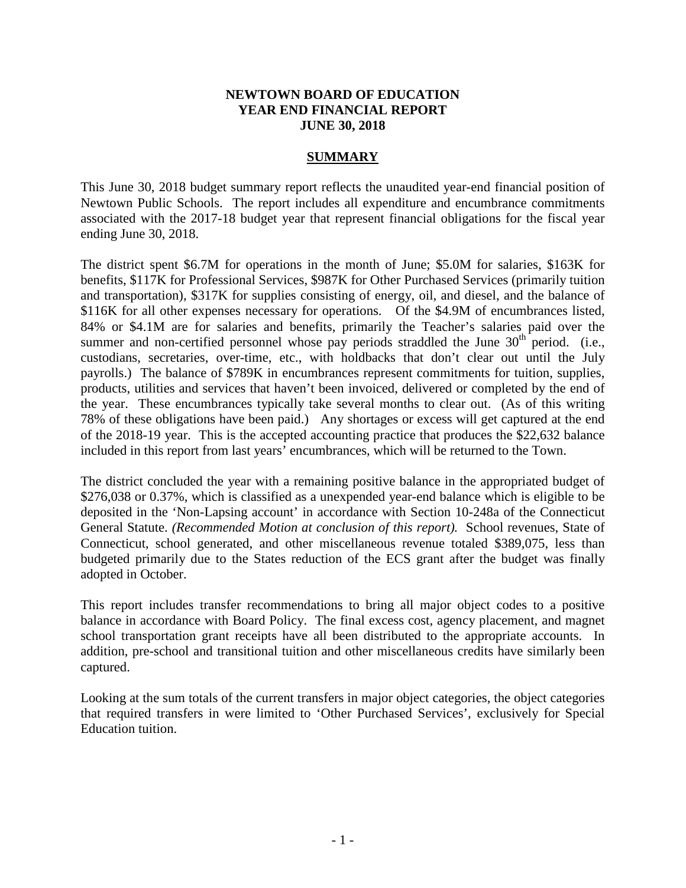# **NEWTOWN BOARD OF EDUCATION YEAR END FINANCIAL REPORT JUNE 30, 2018**

# **SUMMARY**

This June 30, 2018 budget summary report reflects the unaudited year-end financial position of Newtown Public Schools. The report includes all expenditure and encumbrance commitments associated with the 2017-18 budget year that represent financial obligations for the fiscal year ending June 30, 2018.

The district spent \$6.7M for operations in the month of June; \$5.0M for salaries, \$163K for benefits, \$117K for Professional Services, \$987K for Other Purchased Services (primarily tuition and transportation), \$317K for supplies consisting of energy, oil, and diesel, and the balance of \$116K for all other expenses necessary for operations. Of the \$4.9M of encumbrances listed, 84% or \$4.1M are for salaries and benefits, primarily the Teacher's salaries paid over the summer and non-certified personnel whose pay periods straddled the June  $30<sup>th</sup>$  period. (i.e., custodians, secretaries, over-time, etc., with holdbacks that don't clear out until the July payrolls.) The balance of \$789K in encumbrances represent commitments for tuition, supplies, products, utilities and services that haven't been invoiced, delivered or completed by the end of the year. These encumbrances typically take several months to clear out. (As of this writing 78% of these obligations have been paid.) Any shortages or excess will get captured at the end of the 2018-19 year. This is the accepted accounting practice that produces the \$22,632 balance included in this report from last years' encumbrances, which will be returned to the Town.

The district concluded the year with a remaining positive balance in the appropriated budget of \$276,038 or 0.37%, which is classified as a unexpended year-end balance which is eligible to be deposited in the 'Non-Lapsing account' in accordance with Section 10-248a of the Connecticut General Statute. *(Recommended Motion at conclusion of this report).* School revenues, State of Connecticut, school generated, and other miscellaneous revenue totaled \$389,075, less than budgeted primarily due to the States reduction of the ECS grant after the budget was finally adopted in October.

This report includes transfer recommendations to bring all major object codes to a positive balance in accordance with Board Policy. The final excess cost, agency placement, and magnet school transportation grant receipts have all been distributed to the appropriate accounts. In addition, pre-school and transitional tuition and other miscellaneous credits have similarly been captured.

Looking at the sum totals of the current transfers in major object categories, the object categories that required transfers in were limited to 'Other Purchased Services', exclusively for Special Education tuition.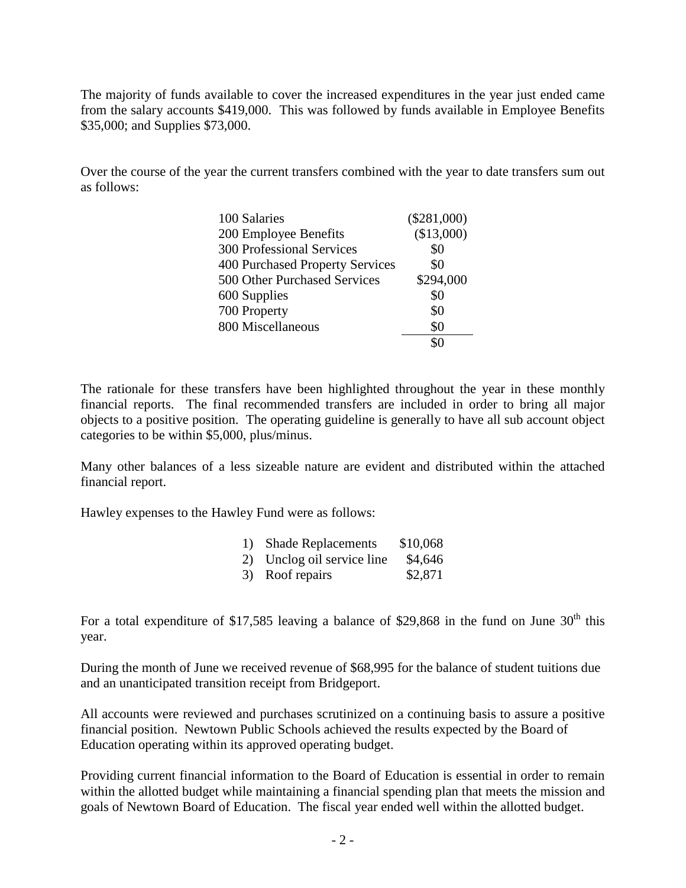The majority of funds available to cover the increased expenditures in the year just ended came from the salary accounts \$419,000. This was followed by funds available in Employee Benefits \$35,000; and Supplies \$73,000.

Over the course of the year the current transfers combined with the year to date transfers sum out as follows:

| 100 Salaries                     | $(\$281,000)$ |
|----------------------------------|---------------|
| 200 Employee Benefits            | (\$13,000)    |
| <b>300 Professional Services</b> | \$0           |
| 400 Purchased Property Services  | \$0           |
| 500 Other Purchased Services     | \$294,000     |
| 600 Supplies                     | \$0           |
| 700 Property                     | \$0           |
| 800 Miscellaneous                | \$0           |
|                                  |               |

The rationale for these transfers have been highlighted throughout the year in these monthly financial reports. The final recommended transfers are included in order to bring all major objects to a positive position. The operating guideline is generally to have all sub account object categories to be within \$5,000, plus/minus.

Many other balances of a less sizeable nature are evident and distributed within the attached financial report.

Hawley expenses to the Hawley Fund were as follows:

| 1) Shade Replacements      | \$10,068       |
|----------------------------|----------------|
| $2)$ Ungles oil compassion | $QA \subset A$ |

|  |  | 2) Unclog oil service line | \$4,646 |
|--|--|----------------------------|---------|
|  |  |                            | 0.071   |

|  | 3) Roof repairs | \$2,871 |
|--|-----------------|---------|
|--|-----------------|---------|

For a total expenditure of \$17,585 leaving a balance of \$29,868 in the fund on June  $30<sup>th</sup>$  this year.

During the month of June we received revenue of \$68,995 for the balance of student tuitions due and an unanticipated transition receipt from Bridgeport.

All accounts were reviewed and purchases scrutinized on a continuing basis to assure a positive financial position. Newtown Public Schools achieved the results expected by the Board of Education operating within its approved operating budget.

Providing current financial information to the Board of Education is essential in order to remain within the allotted budget while maintaining a financial spending plan that meets the mission and goals of Newtown Board of Education. The fiscal year ended well within the allotted budget.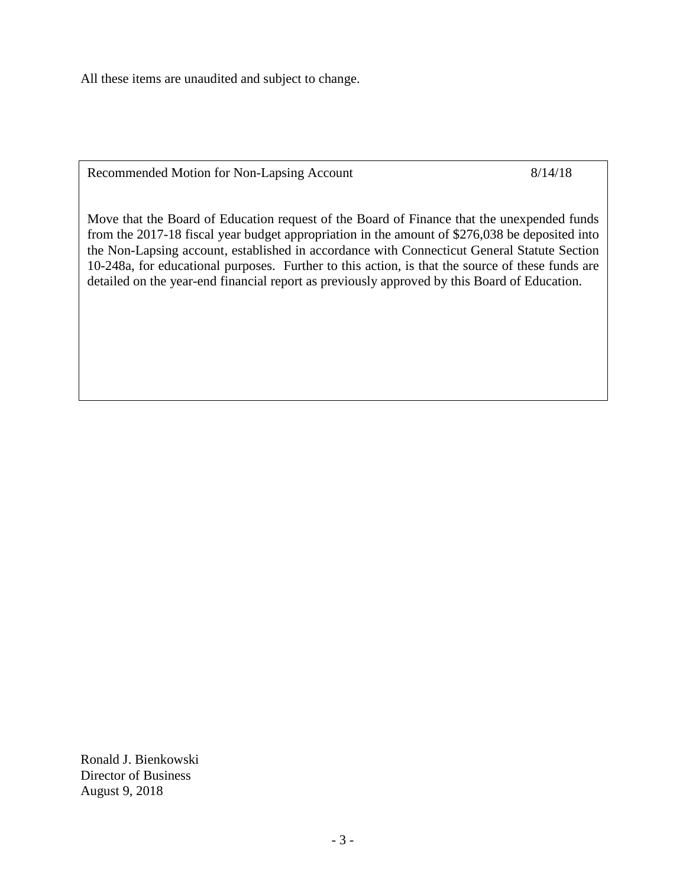All these items are unaudited and subject to change.

Recommended Motion for Non-Lapsing Account 8/14/18

Move that the Board of Education request of the Board of Finance that the unexpended funds from the 2017-18 fiscal year budget appropriation in the amount of \$276,038 be deposited into the Non-Lapsing account, established in accordance with Connecticut General Statute Section 10-248a, for educational purposes. Further to this action, is that the source of these funds are detailed on the year-end financial report as previously approved by this Board of Education.

Ronald J. Bienkowski Director of Business August 9, 2018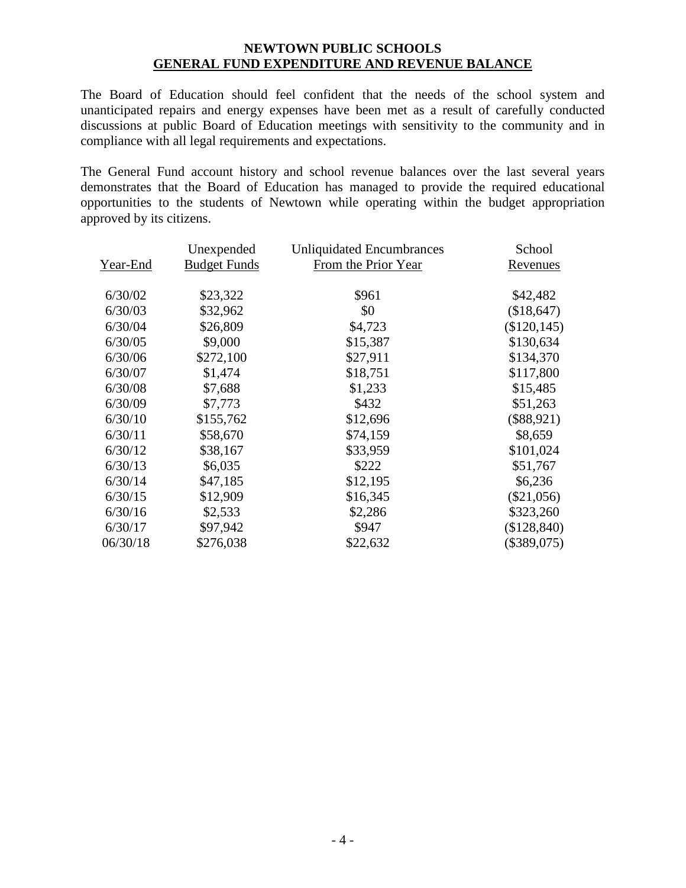# **NEWTOWN PUBLIC SCHOOLS GENERAL FUND EXPENDITURE AND REVENUE BALANCE**

The Board of Education should feel confident that the needs of the school system and unanticipated repairs and energy expenses have been met as a result of carefully conducted discussions at public Board of Education meetings with sensitivity to the community and in compliance with all legal requirements and expectations.

The General Fund account history and school revenue balances over the last several years demonstrates that the Board of Education has managed to provide the required educational opportunities to the students of Newtown while operating within the budget appropriation approved by its citizens.

|          | Unexpended          | <b>Unliquidated Encumbrances</b> | School         |
|----------|---------------------|----------------------------------|----------------|
| Year-End | <b>Budget Funds</b> | From the Prior Year              | Revenues       |
| 6/30/02  | \$23,322            | \$961                            | \$42,482       |
| 6/30/03  | \$32,962            | \$0                              | (\$18,647)     |
| 6/30/04  | \$26,809            | \$4,723                          | $(\$120, 145)$ |
| 6/30/05  | \$9,000             | \$15,387                         | \$130,634      |
| 6/30/06  | \$272,100           | \$27,911                         | \$134,370      |
| 6/30/07  | \$1,474             | \$18,751                         | \$117,800      |
| 6/30/08  | \$7,688             | \$1,233                          | \$15,485       |
| 6/30/09  | \$7,773             | \$432                            | \$51,263       |
| 6/30/10  | \$155,762           | \$12,696                         | $(\$88,921)$   |
| 6/30/11  | \$58,670            | \$74,159                         | \$8,659        |
| 6/30/12  | \$38,167            | \$33,959                         | \$101,024      |
| 6/30/13  | \$6,035             | \$222                            | \$51,767       |
| 6/30/14  | \$47,185            | \$12,195                         | \$6,236        |
| 6/30/15  | \$12,909            | \$16,345                         | $(\$21,056)$   |
| 6/30/16  | \$2,533             | \$2,286                          | \$323,260      |
| 6/30/17  | \$97,942            | \$947                            | (\$128,840)    |
| 06/30/18 | \$276,038           | \$22,632                         | $(\$389,075)$  |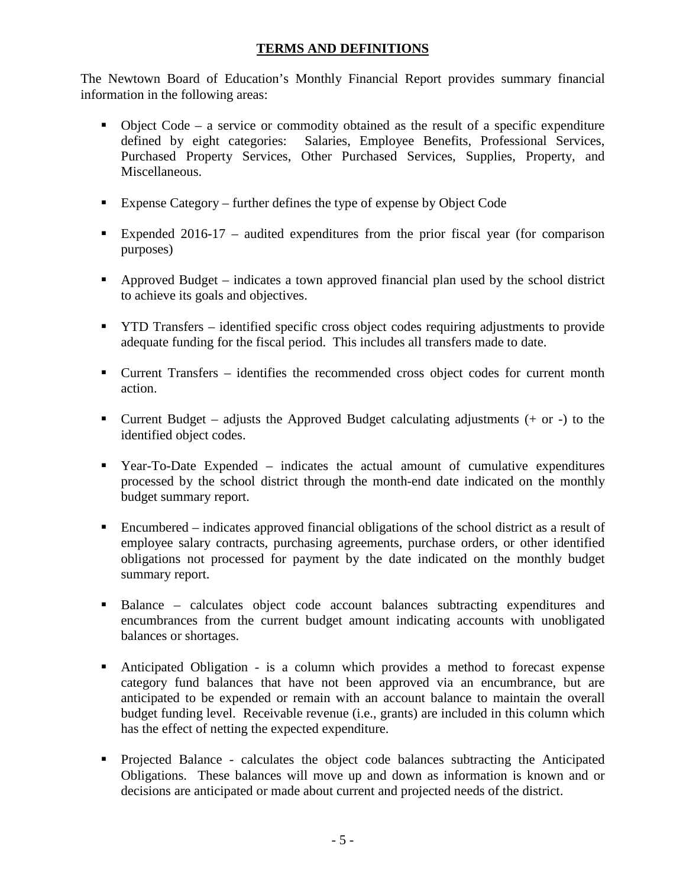# **TERMS AND DEFINITIONS**

The Newtown Board of Education's Monthly Financial Report provides summary financial information in the following areas:

- $\bullet$  Object Code a service or commodity obtained as the result of a specific expenditure defined by eight categories: Salaries, Employee Benefits, Professional Services, Purchased Property Services, Other Purchased Services, Supplies, Property, and Miscellaneous.
- Expense Category further defines the type of expense by Object Code
- Expended 2016-17 audited expenditures from the prior fiscal year (for comparison purposes)
- Approved Budget indicates a town approved financial plan used by the school district to achieve its goals and objectives.
- **THE TRANSF identified specific cross object codes requiring adjustments to provide** adequate funding for the fiscal period. This includes all transfers made to date.
- Current Transfers identifies the recommended cross object codes for current month action.
- Current Budget adjusts the Approved Budget calculating adjustments  $(+)$  or  $-)$  to the identified object codes.
- Year-To-Date Expended indicates the actual amount of cumulative expenditures processed by the school district through the month-end date indicated on the monthly budget summary report.
- Encumbered indicates approved financial obligations of the school district as a result of employee salary contracts, purchasing agreements, purchase orders, or other identified obligations not processed for payment by the date indicated on the monthly budget summary report.
- Balance calculates object code account balances subtracting expenditures and encumbrances from the current budget amount indicating accounts with unobligated balances or shortages.
- Anticipated Obligation is a column which provides a method to forecast expense category fund balances that have not been approved via an encumbrance, but are anticipated to be expended or remain with an account balance to maintain the overall budget funding level. Receivable revenue (i.e., grants) are included in this column which has the effect of netting the expected expenditure.
- Projected Balance calculates the object code balances subtracting the Anticipated Obligations. These balances will move up and down as information is known and or decisions are anticipated or made about current and projected needs of the district.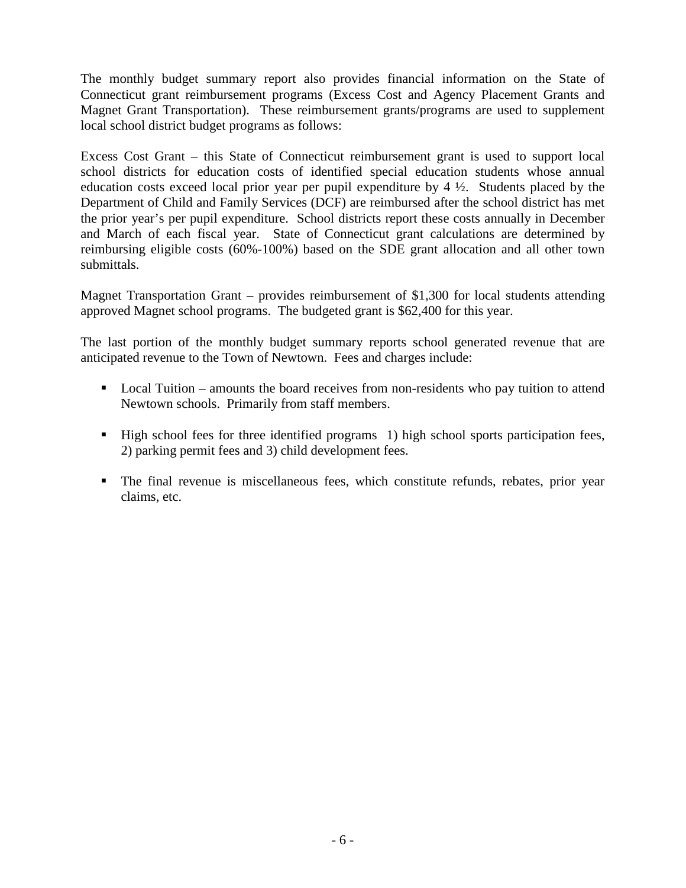The monthly budget summary report also provides financial information on the State of Connecticut grant reimbursement programs (Excess Cost and Agency Placement Grants and Magnet Grant Transportation). These reimbursement grants/programs are used to supplement local school district budget programs as follows:

Excess Cost Grant – this State of Connecticut reimbursement grant is used to support local school districts for education costs of identified special education students whose annual education costs exceed local prior year per pupil expenditure by 4 ½. Students placed by the Department of Child and Family Services (DCF) are reimbursed after the school district has met the prior year's per pupil expenditure. School districts report these costs annually in December and March of each fiscal year. State of Connecticut grant calculations are determined by reimbursing eligible costs (60%-100%) based on the SDE grant allocation and all other town submittals.

Magnet Transportation Grant – provides reimbursement of \$1,300 for local students attending approved Magnet school programs. The budgeted grant is \$62,400 for this year.

The last portion of the monthly budget summary reports school generated revenue that are anticipated revenue to the Town of Newtown. Fees and charges include:

- Local Tuition amounts the board receives from non-residents who pay tuition to attend Newtown schools. Primarily from staff members.
- High school fees for three identified programs 1) high school sports participation fees, 2) parking permit fees and 3) child development fees.
- The final revenue is miscellaneous fees, which constitute refunds, rebates, prior year claims, etc.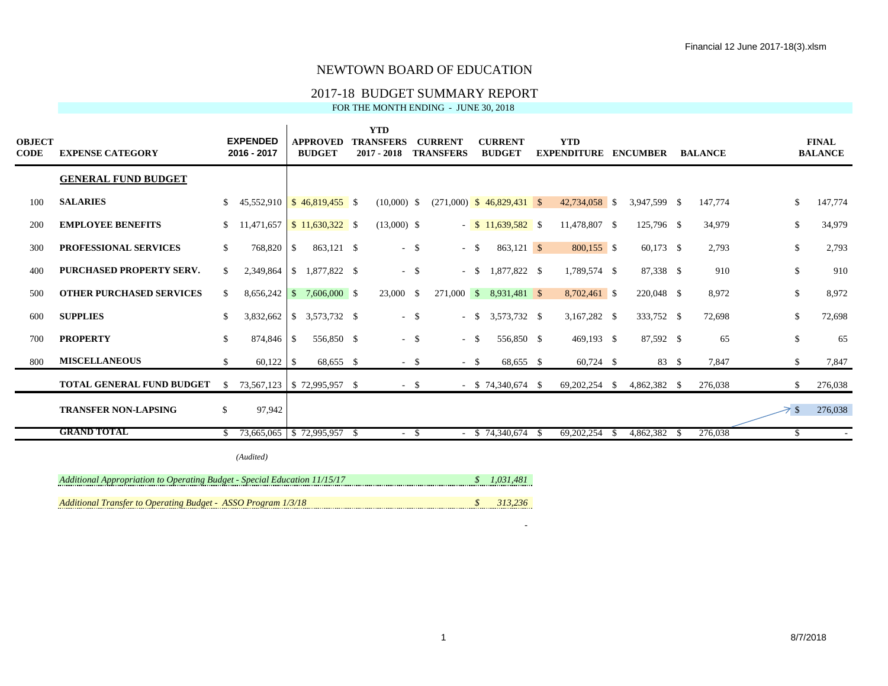## 2017-18 BUDGET SUMMARY REPORT

FOR THE MONTH ENDING - JUNE 30, 2018

| <b>OBJECT</b><br><b>CODE</b> | <b>EXPENSE CATEGORY</b>                                                   |               | <b>EXPENDED</b><br>2016 - 2017          | <b>APPROVED</b><br><b>BUDGET</b> | <b>YTD</b><br><b>TRANSFERS</b><br>$2017 - 2018$ |        | <b>CURRENT</b><br><b>TRANSFERS</b> | <b>CURRENT</b><br><b>BUDGET</b> |      | <b>YTD</b><br><b>EXPENDITURE ENCUMBER</b> |      |              | <b>BALANCE</b> |              | <b>FINAL</b><br><b>BALANCE</b> |
|------------------------------|---------------------------------------------------------------------------|---------------|-----------------------------------------|----------------------------------|-------------------------------------------------|--------|------------------------------------|---------------------------------|------|-------------------------------------------|------|--------------|----------------|--------------|--------------------------------|
|                              | <b>GENERAL FUND BUDGET</b>                                                |               |                                         |                                  |                                                 |        |                                    |                                 |      |                                           |      |              |                |              |                                |
| 100                          | <b>SALARIES</b>                                                           | <sup>\$</sup> | $45,552,910$ \ \ \$ $46,819,455$ \ \ \$ |                                  | $(10,000)$ \$                                   |        |                                    | $(271,000)$ \$ 46,829,431 \$    |      | 42,734,058 \$                             |      | 3,947,599 \$ | 147,774        | $\mathbb{S}$ | 147,774                        |
| 200                          | <b>EMPLOYEE BENEFITS</b>                                                  | \$            | $11,471,657$ \$ $11,630,322$ \$         |                                  | $(13,000)$ \$                                   |        |                                    | $-$ \$ 11,639,582 \$            |      | 11,478,807 \$                             |      | 125,796 \$   | 34,979         | \$           | 34,979                         |
| 300                          | PROFESSIONAL SERVICES                                                     | $\mathbb{S}$  | 768,820 \$                              | 863,121 \$                       |                                                 | $-$ \$ | $- S$                              | $863,121$ \$                    |      | $800,155$ \$                              |      | 60,173 \$    | 2,793          | \$           | 2,793                          |
| 400                          | PURCHASED PROPERTY SERV.                                                  | \$.           |                                         | 2,349,864   \$ 1,877,822 \$      |                                                 | $-$ \$ | $-$ \$                             | 1,877,822 \$                    |      | 1,789,574 \$                              |      | 87,338 \$    | 910            | $\mathbb{S}$ | 910                            |
| 500                          | <b>OTHER PURCHASED SERVICES</b>                                           | S.            |                                         | $8,656,242$ \$ 7,606,000 \$      | 23,000 \$                                       |        |                                    | 271,000 \$ 8,931,481 \$         |      | 8,702,461 \$                              |      | 220,048 \$   | 8,972          | \$           | 8,972                          |
| 600                          | <b>SUPPLIES</b>                                                           | \$.           |                                         | 3,832,662   \$ 3,573,732 \$      |                                                 | $-$ \$ | $- S$                              | 3,573,732 \$                    |      | 3,167,282 \$                              |      | 333,752 \$   | 72,698         | $\mathbb{S}$ | 72,698                         |
| 700                          | <b>PROPERTY</b>                                                           | \$            | 874,846 \$                              | 556,850 \$                       |                                                 | $-$ \$ | $-$ \$                             | 556,850 \$                      |      | 469,193 \$                                |      | 87,592 \$    | 65             | \$           | 65                             |
| 800                          | <b>MISCELLANEOUS</b>                                                      | \$            |                                         | 68,655 \$                        |                                                 | $-$ \$ | $-$ \$                             | 68,655 \$                       |      | $60,724$ \$                               |      | 83 \$        | 7,847          | \$           | 7,847                          |
|                              | <b>TOTAL GENERAL FUND BUDGET</b>                                          | $\mathcal{S}$ | 73,567,123 \$72,995,957 \$              |                                  |                                                 | $-$ \$ |                                    | $-$ \$ 74,340,674 \$            |      | 69, 202, 254 \$                           |      | 4,862,382 \$ | 276,038        | \$.          | 276,038                        |
|                              | <b>TRANSFER NON-LAPSING</b>                                               | \$            | 97,942                                  |                                  |                                                 |        |                                    |                                 |      |                                           |      |              |                | $\geq$ s     | 276,038                        |
|                              | <b>GRAND TOTAL</b>                                                        | \$.           | 73,665,065 \$72,995,957 \$              |                                  |                                                 | $-$ \$ |                                    | $-$ \$ 74,340,674               | - \$ | 69,202,254                                | - \$ | 4,862,382 \$ | 276,038        | \$           | $\sim$                         |
|                              |                                                                           |               | (Audited)                               |                                  |                                                 |        |                                    |                                 |      |                                           |      |              |                |              |                                |
|                              | Additional Appropriation to Operating Budget - Special Education 11/15/17 |               |                                         |                                  |                                                 |        |                                    | \$1,031,481                     |      |                                           |      |              |                |              |                                |

*Additional Transfer to Operating Budget - ASSO Program 1/3/18* **313,236 \$ 313,236** 

 $-$  18,000  $-$  18,000  $-$  18,000  $-$  18,000  $-$  18,000  $-$  18,000  $-$  18,000  $-$  18,000  $-$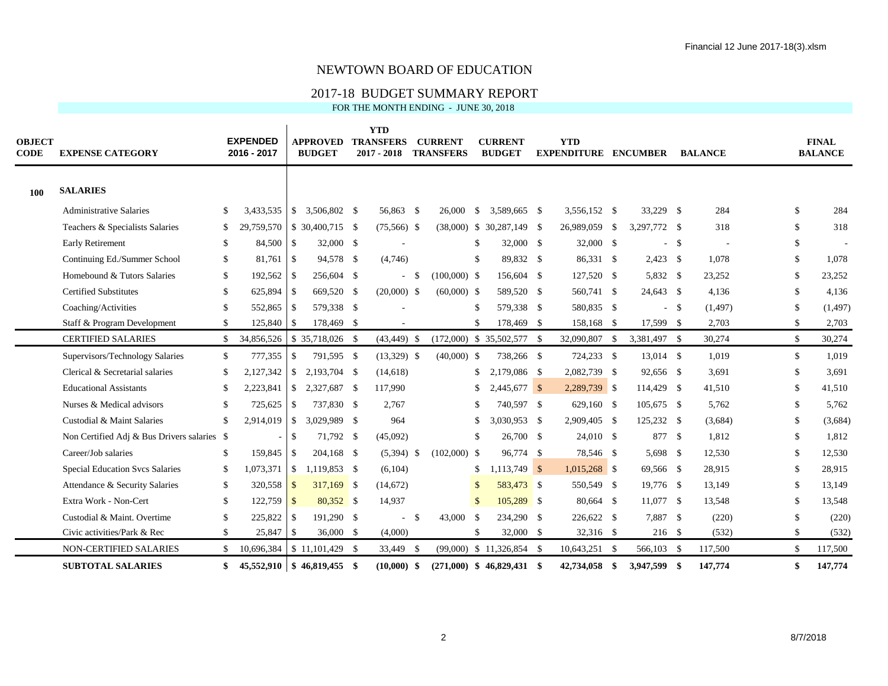## 2017-18 BUDGET SUMMARY REPORT

| <b>OBJECT</b><br><b>CODE</b> | <b>EXPENSE CATEGORY</b>                     |              | <b>EXPENDED</b><br>2016 - 2017 |               | <b>APPROVED</b><br><b>BUDGET</b>  | <b>YTD</b><br><b>TRANSFERS</b><br>$2017 - 2018$ |               | <b>CURRENT</b><br><b>TRANSFERS</b> |               | <b>CURRENT</b><br><b>BUDGET</b> | <b>YTD</b><br><b>EXPENDITURE ENCUMBER</b> |              |        | <b>BALANCE</b> |              | <b>FINAL</b><br><b>BALANCE</b> |
|------------------------------|---------------------------------------------|--------------|--------------------------------|---------------|-----------------------------------|-------------------------------------------------|---------------|------------------------------------|---------------|---------------------------------|-------------------------------------------|--------------|--------|----------------|--------------|--------------------------------|
| 100                          | <b>SALARIES</b>                             |              |                                |               |                                   |                                                 |               |                                    |               |                                 |                                           |              |        |                |              |                                |
|                              | <b>Administrative Salaries</b>              | \$           | 3,433,535                      | $\mathbb{S}$  | 3,506,802 \$                      | 56,863 \$                                       |               | 26,000                             | S.            | 3,589,665 \$                    | 3,556,152 \$                              | 33,229 \$    |        | 284            | \$           | 284                            |
|                              | Teachers & Specialists Salaries             | \$           |                                |               | 29,759,570 \ \ \$ 30,400,715 \ \$ | $(75,566)$ \$                                   |               |                                    |               | $(38,000)$ \$ 30,287,149 \$     | 26,989,059 \$                             | 3,297,772 \$ |        | 318            | \$           | 318                            |
|                              | Early Retirement                            | \$           | 84,500                         | $\mathbb{S}$  | 32,000 \$                         |                                                 |               |                                    | \$            | 32,000 \$                       | 32,000 \$                                 | ÷.           | -\$    |                |              |                                |
|                              | Continuing Ed./Summer School                | \$           |                                |               | 94,578 \$                         | (4,746)                                         |               |                                    | $\mathbb{S}$  | 89,832 \$                       | 86,331 \$                                 | $2,423$ \$   |        | 1.078          | \$           | 1,078                          |
|                              | Homebound & Tutors Salaries                 | \$           | 192,562                        | \$            | 256,604 \$                        |                                                 | - \$          | $(100,000)$ \$                     |               | 156,604 \$                      | 127,520 \$                                | 5,832 \$     |        | 23,252         |              | 23,252                         |
|                              | <b>Certified Substitutes</b>                | \$           | 625,894                        | -S            | 669,520 \$                        | $(20,000)$ \$                                   |               | $(60,000)$ \$                      |               | 589,520 \$                      | 560,741 \$                                | 24,643 \$    |        | 4,136          | S.           | 4,136                          |
|                              | Coaching/Activities                         | \$           | 552,865                        | <b>S</b>      | 579,338 \$                        |                                                 |               |                                    | $\mathbb{S}$  | 579,338 \$                      | 580,835 \$                                |              | $-$ \$ | (1, 497)       | $\mathbb{S}$ | (1, 497)                       |
|                              | Staff & Program Development                 | \$           | 125,840 \$                     |               | 178,469 \$                        |                                                 |               |                                    | <sup>\$</sup> | 178,469 \$                      | 158,168 \$                                | 17,599 \$    |        | 2,703          | S.           | 2,703                          |
|                              | <b>CERTIFIED SALARIES</b>                   | $\mathbb{S}$ | 34,856,526                     |               | \$ 35,718,026 \$                  | $(43, 449)$ \$                                  |               |                                    |               | $(172,000)$ \$ 35,502,577 \$    | 32,090,807 \$                             | 3,381,497 \$ |        | 30,274         | \$           | 30,274                         |
|                              | Supervisors/Technology Salaries             | \$           | 777,355                        | $\mathbb{S}$  | 791,595 \$                        | $(13,329)$ \$                                   |               | $(40,000)$ \$                      |               | 738,266 \$                      | 724,233 \$                                | 13,014 \$    |        | 1,019          | \$           | 1,019                          |
|                              | Clerical & Secretarial salaries             | \$           | 2,127,342                      |               |                                   | (14, 618)                                       |               |                                    | \$            | 2,179,086 \$                    | 2,082,739 \$                              | 92,656 \$    |        | 3,691          |              | 3,691                          |
|                              | <b>Educational Assistants</b>               | \$.          | 2,223,841                      | $\mathbb{S}$  | 2,327,687 \$                      | 117,990                                         |               |                                    | \$            | $2,445,677$ \$                  | 2,289,739 \$                              | 114,429 \$   |        | 41,510         | \$.          | 41,510                         |
|                              | Nurses & Medical advisors                   | \$           | 725,625                        | <sup>S</sup>  | 737,830 \$                        | 2,767                                           |               |                                    |               | 740,597 \$                      | 629,160 \$                                | 105,675 \$   |        | 5,762          |              | 5,762                          |
|                              | Custodial & Maint Salaries                  | \$           | 2,914,019                      | $\mathcal{S}$ | 3,029,989 \$                      | 964                                             |               |                                    | S.            | 3,030,953 \$                    | 2,909,405 \$                              | 125,232 \$   |        | (3,684)        | \$           | (3,684)                        |
|                              | Non Certified Adj & Bus Drivers salaries \$ |              |                                | <sup>\$</sup> | 71,792 \$                         | (45,092)                                        |               |                                    | \$            | 26,700 \$                       | 24,010 \$                                 | 877 \$       |        | 1,812          | \$           | 1,812                          |
|                              | Career/Job salaries                         | \$           | 159,845                        | l \$          | 204,168 \$                        | $(5,394)$ \$                                    |               | $(102,000)$ \$                     |               | 96,774 \$                       | 78,546 \$                                 | 5,698 \$     |        | 12,530         |              | 12,530                         |
|                              | <b>Special Education Svcs Salaries</b>      | \$           | $1,073,371$ \$                 |               | 1,119,853 \$                      | (6,104)                                         |               |                                    | \$            | $1,113,749$ \$                  | $1,015,268$ \$                            | 69,566 \$    |        | 28,915         |              | 28,915                         |
|                              | Attendance & Security Salaries              | \$           | 320,558                        | $\mathbf{s}$  | $317,169$ \$                      | (14,672)                                        |               |                                    | $\mathcal{S}$ | 583,473 \$                      | 550,549 \$                                | 19,776 \$    |        | 13,149         |              | 13,149                         |
|                              | Extra Work - Non-Cert                       | \$           | 122,759                        | $\sqrt{S}$    | $80,352$ \$                       | 14,937                                          |               |                                    |               | 105,289 \$                      | 80,664 \$                                 | 11,077 \$    |        | 13,548         |              | 13,548                         |
|                              | Custodial & Maint. Overtime                 | \$           | 225,822                        | $\mathbb{S}$  | 191,290 \$                        |                                                 | <sup>\$</sup> | 43,000                             | -S            | 234,290 \$                      | 226,622 \$                                | 7,887 \$     |        | (220)          | \$           | (220)                          |
|                              | Civic activities/Park & Rec                 | \$           |                                |               | 36,000 \$                         | (4,000)                                         |               |                                    | <sup>\$</sup> | 32,000 \$                       | 32,316 \$                                 | $216$ \$     |        | (532)          | \$           | (532)                          |
|                              | <b>NON-CERTIFIED SALARIES</b>               | \$           | 10,696,384                     |               | $$11,101,429$ \ \$                | 33,449 \$                                       |               |                                    |               | $(99,000)$ \$ 11,326,854 \$     | 10,643,251 \$                             | 566,103 \$   |        | 117,500        | \$           | 117,500                        |
|                              | <b>SUBTOTAL SALARIES</b>                    | \$           |                                |               | $45,552,910$   \$46,819,455 \$    | $(10.000)$ \$                                   |               |                                    |               | $(271.000)$ \$ 46.829.431 \$    | 42,734,058 \$                             | 3,947,599 \$ |        | 147,774        | \$           | 147,774                        |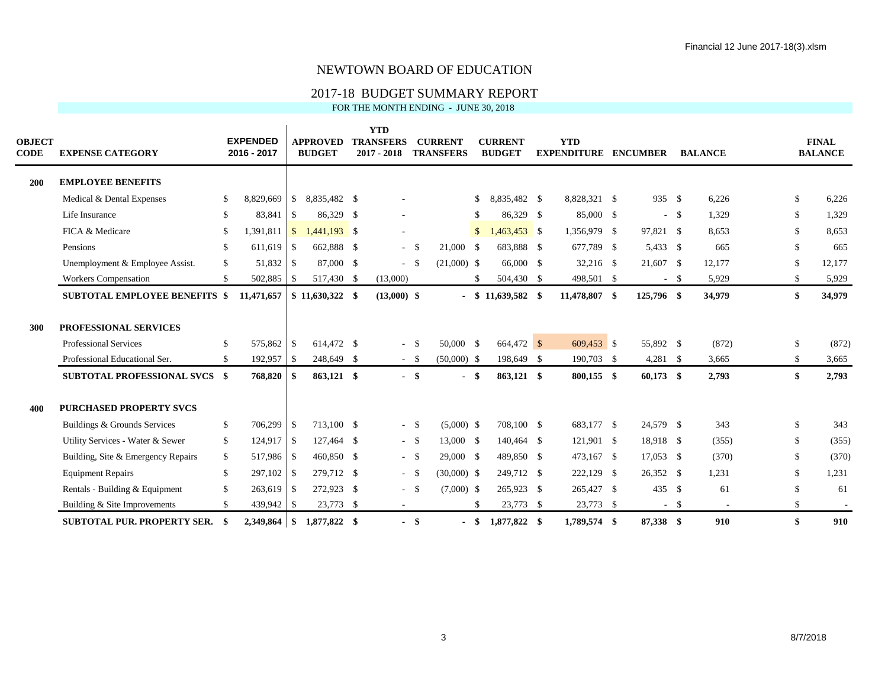## 2017-18 BUDGET SUMMARY REPORT

| <b>OBJECT</b><br>CODE | <b>EXPENSE CATEGORY</b>                                                                                                        |                                | <b>EXPENDED</b><br>2016 - 2017 |                                   | <b>APPROVED</b><br><b>BUDGET</b>       |      | <b>YTD</b><br><b>TRANSFERS</b><br>$2017 - 2018$ |                            | <b>CURRENT</b><br><b>TRANSFERS</b> |               | <b>CURRENT</b><br><b>BUDGET</b>        | <b>YTD</b><br><b>EXPENDITURE ENCUMBER</b> |     |                                        |        | <b>BALANCE</b>          |                 | <b>FINAL</b><br><b>BALANCE</b> |
|-----------------------|--------------------------------------------------------------------------------------------------------------------------------|--------------------------------|--------------------------------|-----------------------------------|----------------------------------------|------|-------------------------------------------------|----------------------------|------------------------------------|---------------|----------------------------------------|-------------------------------------------|-----|----------------------------------------|--------|-------------------------|-----------------|--------------------------------|
| 200                   | <b>EMPLOYEE BENEFITS</b>                                                                                                       |                                |                                |                                   |                                        |      |                                                 |                            |                                    |               |                                        |                                           |     |                                        |        |                         |                 |                                |
|                       | Medical & Dental Expenses                                                                                                      | \$                             | 8,829,669                      | \$                                | 8,835,482 \$                           |      |                                                 |                            |                                    | \$            | 8,835,482 \$                           | 8,828,321 \$                              |     | 935 \$                                 |        | 6,226                   | \$              | 6,226                          |
|                       | Life Insurance                                                                                                                 | \$                             | 83,841                         | <sup>\$</sup>                     | 86.329 \$                              |      | $\overline{\phantom{a}}$                        |                            |                                    | \$.           | 86.329 \$                              | 85,000 \$                                 |     |                                        | $-$ \$ | 1,329                   | \$              | 1,329                          |
|                       | FICA & Medicare                                                                                                                | <sup>\$</sup>                  | 1,391,811                      | $\sqrt{S}$                        | $1,441,193$ \$                         |      |                                                 |                            |                                    | $\mathbb{S}$  | $1,463,453$ \$                         | 1,356,979 \$                              |     | 97,821 \$                              |        | 8,653                   | \$.             | 8,653                          |
|                       | Pensions                                                                                                                       | \$                             | $611,619$ \$                   |                                   | 662,888 \$                             |      |                                                 | $-$ \$                     | 21,000                             | -\$           | 683.888 \$                             | 677,789 \$                                |     | 5,433 \$                               |        | 665                     | $\mathbb{S}$    | 665                            |
|                       | Unemployment & Employee Assist.                                                                                                | \$                             |                                |                                   | 87,000 \$                              |      |                                                 | $-$ \$                     | $(21,000)$ \$                      |               | 66,000 \$                              | 32,216 \$                                 |     | 21,607 \$                              |        | 12,177                  |                 | 12,177                         |
|                       | <b>Workers Compensation</b>                                                                                                    | \$                             | 502,885                        | -S                                | 517,430 \$                             |      | (13,000)                                        |                            |                                    | <sup>\$</sup> | 504,430 \$                             | 498,501 \$                                |     |                                        | $-$ \$ | 5,929                   | \$.             | 5,929                          |
|                       | <b>SUBTOTAL EMPLOYEE BENEFITS \$</b>                                                                                           |                                | 11,471,657                     |                                   | $$11,630,322$ \$                       |      | $(13,000)$ \$                                   |                            |                                    |               | $-$ \$ 11,639,582 \$                   | 11,478,807 \$                             |     | 125,796 \$                             |        | 34,979                  | \$              | 34,979                         |
| 300                   | PROFESSIONAL SERVICES<br><b>Professional Services</b><br>Professional Educational Ser.<br><b>SUBTOTAL PROFESSIONAL SVCS \$</b> | <sup>\$</sup><br><sup>\$</sup> | 575,862<br>192,957<br>768,820  | $\mathbf{s}$<br>$\sqrt{S}$<br>-\$ | 614.472 \$<br>248,649 \$<br>863,121 \$ |      |                                                 | $-$ \$<br>$-$ \$<br>$-$ \$ | 50,000 \$<br>$(50,000)$ \$<br>- \$ |               | 664,472 \$<br>198,649 \$<br>863,121 \$ | 609,453 \$<br>190,703 \$<br>800,155 \$    |     | 55,892 \$<br>$4,281$ \$<br>$60,173$ \$ |        | (872)<br>3,665<br>2,793 | \$<br>\$.<br>\$ | (872)<br>3,665<br>2,793        |
| 400                   | <b>PURCHASED PROPERTY SVCS</b>                                                                                                 |                                |                                |                                   |                                        |      |                                                 |                            |                                    |               |                                        |                                           |     |                                        |        |                         |                 |                                |
|                       | Buildings & Grounds Services                                                                                                   | \$                             | 706,299                        | <sup>\$</sup>                     | 713,100 \$                             |      |                                                 | $-$ \$                     | $(5,000)$ \$                       |               | 708,100 \$                             | 683,177 \$                                |     | 24,579 \$                              |        | 343                     | \$              | 343                            |
|                       | Utility Services - Water & Sewer                                                                                               | \$                             | 124,917 \$                     |                                   | 127,464 \$                             |      |                                                 | $- S$                      | 13,000 \$                          |               | 140.464 \$                             | 121,901 \$                                |     | 18,918 \$                              |        | (355)                   | $\mathbb{S}$    | (355)                          |
|                       | Building, Site & Emergency Repairs                                                                                             | \$                             | 517,986                        | -\$                               | 460,850 \$                             |      |                                                 | $-$ \$                     | 29,000 \$                          |               | 489,850 \$                             | 473,167 \$                                |     | $17,053$ \$                            |        | (370)                   |                 | (370)                          |
|                       | <b>Equipment Repairs</b>                                                                                                       | \$                             | $297,102$ \$                   |                                   | 279.712 \$                             |      |                                                 | $-$ \$                     | $(30,000)$ \$                      |               | 249.712 \$                             | 222,129 \$                                |     | 26,352 \$                              |        | 1,231                   | \$              | 1,231                          |
|                       | Rentals - Building & Equipment                                                                                                 | <sup>\$</sup>                  | 263,619                        | $\sqrt{3}$                        | 272,923 \$                             |      |                                                 | $-$ \$                     | $(7,000)$ \$                       |               | 265,923 \$                             | 265,427 \$                                |     | 435 \$                                 |        | 61                      |                 | 61                             |
|                       | Building & Site Improvements                                                                                                   | \$                             | 439,942                        | \$                                | 23,773                                 | - \$ |                                                 |                            |                                    | <sup>\$</sup> | 23,773 \$                              | 23,773 \$                                 |     |                                        | $-$ \$ |                         | \$.             |                                |
|                       | <b>SUBTOTAL PUR. PROPERTY SER.</b>                                                                                             | -8                             | 2.349.864                      | \$                                | 1,877,822 \$                           |      |                                                 | - \$                       |                                    | - \$          | 1.877.822 \$                           | 1,789,574                                 | -\$ | 87,338 \$                              |        | 910                     | \$              | 910                            |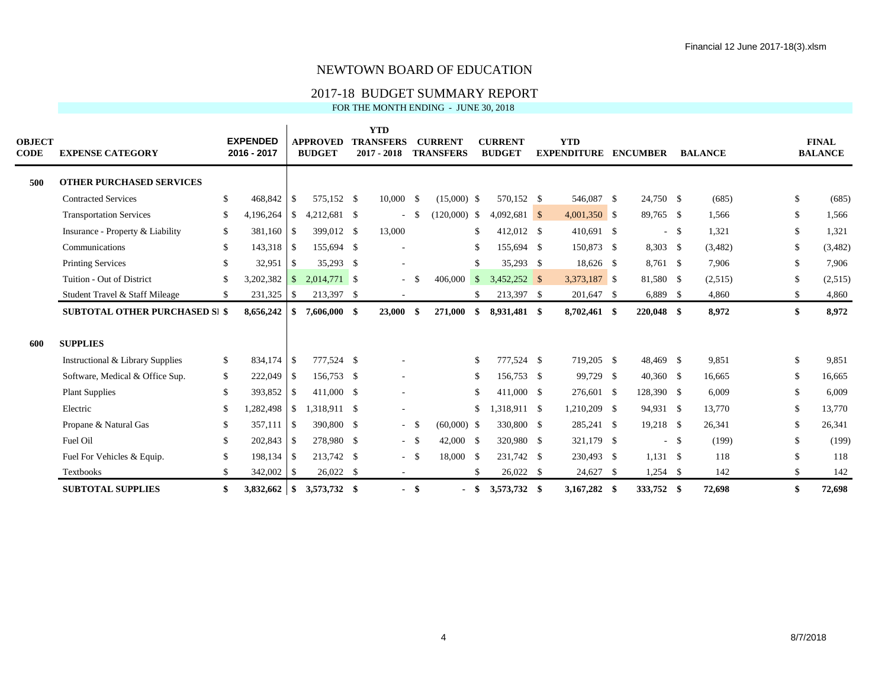## 2017-18 BUDGET SUMMARY REPORT

| <b>OBJECT</b><br>CODE | <b>EXPENSE CATEGORY</b>               |               | <b>EXPENDED</b><br>2016 - 2017 |               | <b>APPROVED</b><br><b>BUDGET</b> | <b>YTD</b><br><b>TRANSFERS</b><br>$2017 - 2018$ |        | <b>CURRENT</b><br><b>TRANSFERS</b> |     | <b>CURRENT</b><br><b>BUDGET</b> | <b>YTD</b><br><b>EXPENDITURE ENCUMBER</b> |             |        | <b>BALANCE</b> |     | <b>FINAL</b><br><b>BALANCE</b> |
|-----------------------|---------------------------------------|---------------|--------------------------------|---------------|----------------------------------|-------------------------------------------------|--------|------------------------------------|-----|---------------------------------|-------------------------------------------|-------------|--------|----------------|-----|--------------------------------|
| 500                   | <b>OTHER PURCHASED SERVICES</b>       |               |                                |               |                                  |                                                 |        |                                    |     |                                 |                                           |             |        |                |     |                                |
|                       | <b>Contracted Services</b>            | \$            | 468,842                        | <sup>\$</sup> | 575,152 \$                       | $10,000$ \$                                     |        | $(15,000)$ \$                      |     | 570,152 \$                      | 546,087 \$                                | 24,750 \$   |        | (685)          | S.  | (685)                          |
|                       | <b>Transportation Services</b>        | <sup>\$</sup> | 4,196,264                      | $\mathbb{S}$  | 4,212,681 \$                     |                                                 |        | $(120,000)$ \$                     |     | $4,092,681$ \$                  | $4,001,350$ \$                            | 89,765 \$   |        | 1,566          | \$  | 1,566                          |
|                       | Insurance - Property & Liability      | \$            | 381,160                        | $\sqrt{S}$    | 399,012 \$                       | 13,000                                          |        |                                    | \$  | 412,012 \$                      | 410,691 \$                                |             | $-$ \$ | 1,321          | \$  | 1,321                          |
|                       | Communications                        | <sup>\$</sup> | 143,318 \$                     |               | 155,694 \$                       |                                                 |        |                                    | \$  | 155,694 \$                      | 150,873 \$                                | 8,303 \$    |        | (3,482)        | \$  | (3,482)                        |
|                       | <b>Printing Services</b>              | \$            | 32,951                         | <sup>\$</sup> | 35,293 \$                        |                                                 |        |                                    | S.  | 35,293 \$                       | 18,626 \$                                 | 8,761 \$    |        | 7,906          | \$. | 7,906                          |
|                       | Tuition - Out of District             | <sup>\$</sup> | 3,202,382                      | $\mathbb{S}$  | 2,014,771 \$                     |                                                 | - \$   | $406,000$ \$                       |     | $3.452.252$ \$                  | 3,373,187 \$                              | 81,580 \$   |        | (2,515)        | S.  | (2,515)                        |
|                       | Student Travel & Staff Mileage        | \$            | 231,325                        | $\mathcal{S}$ | 213,397 \$                       |                                                 |        |                                    | \$  | 213,397 \$                      | 201,647 \$                                | 6,889 \$    |        | 4,860          | \$  | 4,860                          |
|                       | <b>SUBTOTAL OTHER PURCHASED SI \$</b> |               | 8,656,242                      | \$            | 7,606,000 \$                     | 23,000 \$                                       |        | 271,000                            | \$  | 8,931,481 \$                    | 8,702,461 \$                              | 220,048 \$  |        | 8,972          | \$  | 8,972                          |
| 600                   | <b>SUPPLIES</b>                       |               |                                |               |                                  |                                                 |        |                                    |     |                                 |                                           |             |        |                |     |                                |
|                       | Instructional & Library Supplies      | \$            | 834,174 \$                     |               | 777,524 \$                       |                                                 |        |                                    | \$. | 777,524 \$                      | 719,205 \$                                | 48,469 \$   |        | 9,851          | S.  | 9,851                          |
|                       | Software, Medical & Office Sup.       | \$            | 222,049 \$                     |               | 156,753 \$                       |                                                 |        |                                    | \$  | 156,753 \$                      | 99,729 \$                                 | $40,360$ \$ |        | 16,665         |     | 16,665                         |
|                       | <b>Plant Supplies</b>                 | \$            | 393,852                        | <sup>\$</sup> | 411,000 \$                       |                                                 |        |                                    | \$  | 411,000 \$                      | 276,601 \$                                | 128,390 \$  |        | 6,009          |     | 6,009                          |
|                       | Electric                              | <sup>\$</sup> | 1,282,498                      | $\mathbb{S}$  | 1,318,911 \$                     |                                                 |        |                                    | \$  | 1,318,911 \$                    | 1,210,209 \$                              | 94,931 \$   |        | 13,770         |     | 13,770                         |
|                       | Propane & Natural Gas                 | S             |                                |               | 390,800 \$                       |                                                 | $- S$  | $(60,000)$ \$                      |     | 330,800 \$                      | 285,241 \$                                | 19,218 \$   |        | 26,341         |     | 26,341                         |
|                       | Fuel Oil                              | <sup>\$</sup> | 202,843 \$                     |               | 278,980 \$                       |                                                 | $-$ \$ | 42,000 \$                          |     | 320,980 \$                      | 321,179 \$                                |             | $-$ \$ | (199)          | \$  | (199)                          |
|                       | Fuel For Vehicles & Equip.            | <sup>\$</sup> | 198,134 \$                     |               | 213,742 \$                       |                                                 | $- S$  | 18,000                             | -\$ | 231,742 \$                      | 230,493 \$                                | $1,131$ \$  |        | 118            |     | 118                            |
|                       | Textbooks                             | <sup>\$</sup> | 342,002 \$                     |               | $26,022$ \$                      | $\overline{\phantom{a}}$                        |        |                                    | \$  | 26,022 \$                       | 24,627 \$                                 | $1,254$ \$  |        | 142            | \$. | 142                            |
|                       | <b>SUBTOTAL SUPPLIES</b>              | \$            | 3,832,662                      | $\sqrt{3}$    | 3,573,732 \$                     |                                                 | - \$   |                                    | S.  | 3,573,732 \$                    | 3.167.282 \$                              | 333,752 \$  |        | 72,698         |     | 72,698                         |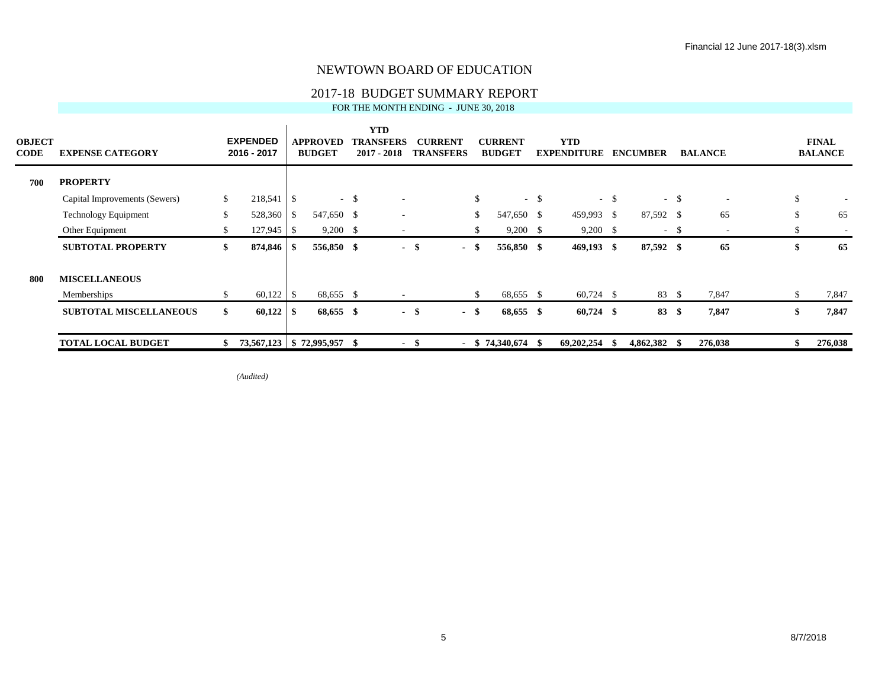## 2017-18 BUDGET SUMMARY REPORT

FOR THE MONTH ENDING - JUNE 30, 2018

| <b>OBJECT</b><br><b>CODE</b> | <b>EXPENSE CATEGORY</b>       |    | <b>EXPENDED</b><br>2016 - 2017 | APPROVED<br><b>BUDGET</b> |        | <b>YTD</b><br>TRANSFERS<br>$2017 - 2018$ |      | <b>CURRENT</b><br><b>TRANSFERS</b> |               | <b>CURRENT</b><br><b>BUDGET</b> |        | <b>YTD</b><br><b>EXPENDITURE</b> |        | <b>ENCUMBER</b> |        | <b>BALANCE</b> | <b>FINAL</b><br><b>BALANCE</b> |    |
|------------------------------|-------------------------------|----|--------------------------------|---------------------------|--------|------------------------------------------|------|------------------------------------|---------------|---------------------------------|--------|----------------------------------|--------|-----------------|--------|----------------|--------------------------------|----|
| 700                          | <b>PROPERTY</b>               |    |                                |                           |        |                                          |      |                                    |               |                                 |        |                                  |        |                 |        |                |                                |    |
|                              | Capital Improvements (Sewers) | S. |                                |                           | $-$ \$ |                                          |      |                                    | $\mathbb{S}$  |                                 | $-$ \$ |                                  | $-$ \$ |                 | $-$ \$ | $\sim$         | \$                             |    |
|                              | Technology Equipment          | \$ | 528,360 \$                     | 547,650 \$                |        |                                          |      |                                    | <sup>\$</sup> | 547,650 \$                      |        | 459,993 \$                       |        | 87,592 \$       |        | 65             | \$                             | 65 |
|                              | Other Equipment               |    |                                | $9,200$ \$                |        |                                          |      |                                    | \$.           | $9,200$ \$                      |        | $9,200$ \$                       |        |                 | $-$ \$ | $\sim$         | \$                             |    |
|                              | <b>SUBTOTAL PROPERTY</b>      | \$ |                                | 556,850 \$                |        |                                          | - \$ | $\sim$                             | -\$           | 556,850 \$                      |        | $469,193$ \$                     |        | 87,592 \$       |        | 65             | \$                             | 65 |
| 800                          | <b>MISCELLANEOUS</b>          |    |                                |                           |        |                                          |      |                                    |               |                                 |        |                                  |        |                 |        |                |                                |    |
|                              | Memberships                   | \$ |                                | 68,655 \$                 |        |                                          |      |                                    | \$            | 68,655 \$                       |        | $60,724$ \$                      |        | 83 \$           |        | 7,847          | \$<br>7,847                    |    |
|                              | <b>SUBTOTAL MISCELLANEOUS</b> | \$ |                                | 68,655 \$                 |        |                                          | - \$ | $-$ \$                             |               | 68,655 \$                       |        | $60,724$ \$                      |        | 83 \$           |        | 7,847          | \$<br>7,847                    |    |
|                              | <b>TOTAL LOCAL BUDGET</b>     | \$ | 73,567,123   \$72,995,957 \$   |                           |        |                                          | - \$ |                                    |               | $-$ \$ 74,340,674 \$            |        | 69,202,254 \$                    |        | $4,862,382$ \$  |        | 276,038        | 276,038                        |    |

*(Audited)*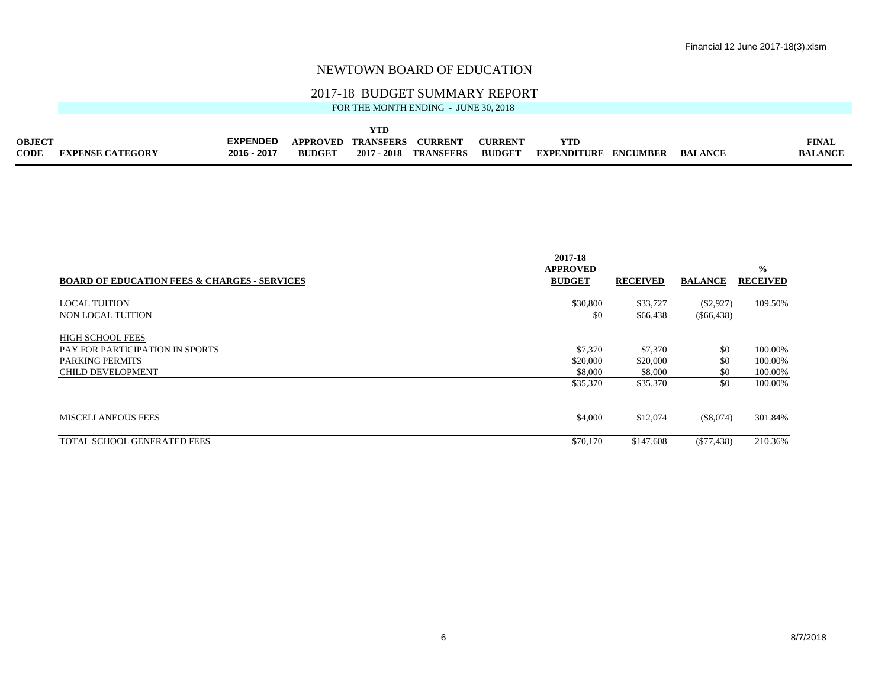## 2017-18 BUDGET SUMMARY REPORT

|                              |                         |                                |                                  | YTD                             |                                   |                                |                                  |                 |                |                                |
|------------------------------|-------------------------|--------------------------------|----------------------------------|---------------------------------|-----------------------------------|--------------------------------|----------------------------------|-----------------|----------------|--------------------------------|
| <b>OBJECT</b><br><b>CODE</b> | <b>EXPENSE CATEGORY</b> | <b>EXPENDED</b><br>2016 - 2017 | <b>APPROVED</b><br><b>BUDGET</b> | <b>TRANSFERS</b><br>2017 - 2018 | <b>CURREN</b><br><b>TRANSFERS</b> | <b>CURREN</b><br><b>BUDGET</b> | <b>YTD</b><br><b>EXPENDITURE</b> | <b>ENCUMBER</b> | <b>BALANCE</b> | <b>FINAL</b><br><b>BALANCE</b> |
|                              |                         |                                |                                  |                                 |                                   |                                |                                  |                 |                |                                |

|                                                         | 2017-18                          |                 |                |                                  |
|---------------------------------------------------------|----------------------------------|-----------------|----------------|----------------------------------|
| <b>BOARD OF EDUCATION FEES &amp; CHARGES - SERVICES</b> | <b>APPROVED</b><br><b>BUDGET</b> | <b>RECEIVED</b> | <b>BALANCE</b> | $\frac{0}{0}$<br><b>RECEIVED</b> |
|                                                         |                                  |                 |                |                                  |
| <b>LOCAL TUITION</b>                                    | \$30,800                         | \$33,727        | $(\$2,927)$    | 109.50%                          |
| NON LOCAL TUITION                                       | \$0                              | \$66,438        | $(\$66,438)$   |                                  |
| <b>HIGH SCHOOL FEES</b>                                 |                                  |                 |                |                                  |
| <b>PAY FOR PARTICIPATION IN SPORTS</b>                  | \$7,370                          | \$7,370         | \$0            | 100.00%                          |
| <b>PARKING PERMITS</b>                                  | \$20,000                         | \$20,000        | \$0            | 100.00%                          |
| <b>CHILD DEVELOPMENT</b>                                | \$8,000                          | \$8,000         | \$0            | 100.00%                          |
|                                                         | \$35,370                         | \$35,370        | \$0            | 100.00%                          |
|                                                         |                                  |                 |                |                                  |
| <b>MISCELLANEOUS FEES</b>                               | \$4,000                          | \$12,074        | (\$8,074)      | 301.84%                          |
| TOTAL SCHOOL GENERATED FEES                             | \$70,170                         | \$147,608       | $(\$77,438)$   | 210.36%                          |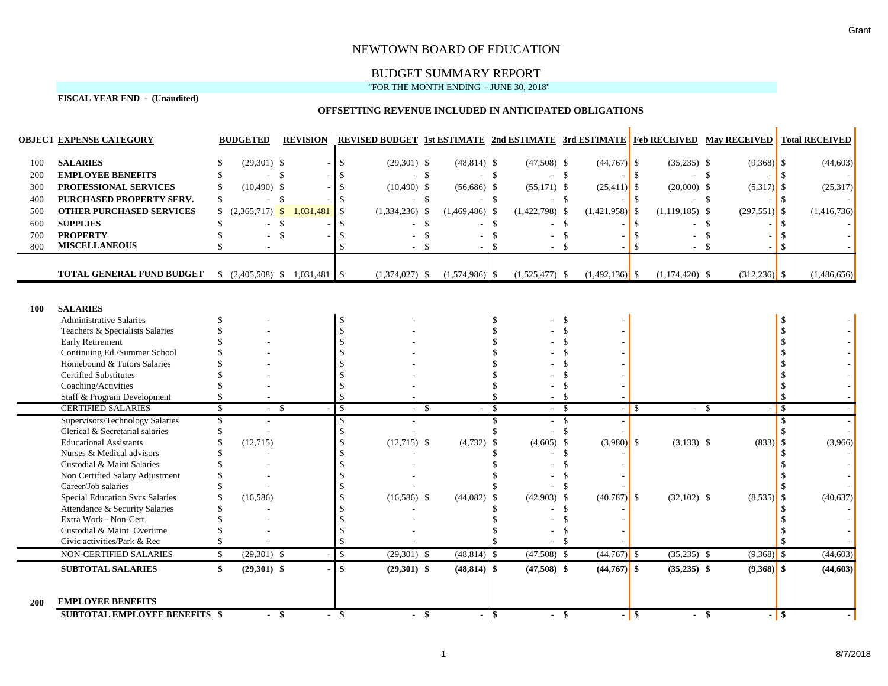# BUDGET SUMMARY REPORT

### "FOR THE MONTH ENDING - JUNE 30, 2018"

**FISCAL YEAR END - (Unaudited)**

## **OFFSETTING REVENUE INCLUDED IN ANTICIPATED OBLIGATIONS**

|            | <b>OBJECT EXPENSE CATEGORY</b>                                     |               | <b>BUDGETED</b>  | <b>REVISION</b>                             |                    |                  |                  |                                |                  |                    |         |                  |                 | <b>REVISED BUDGET 1st ESTIMATE 2nd ESTIMATE 3rd ESTIMATE Feb RECEIVED May RECEIVED Total RECEIVED</b> |
|------------|--------------------------------------------------------------------|---------------|------------------|---------------------------------------------|--------------------|------------------|------------------|--------------------------------|------------------|--------------------|---------|------------------|-----------------|-------------------------------------------------------------------------------------------------------|
| 100        | <b>SALARIES</b>                                                    |               | $(29,301)$ \$    |                                             | $\mathbb{S}$       | $(29,301)$ \$    | $(48, 814)$ \$   |                                | $(47,508)$ \$    | $(44,767)$ \$      |         | $(35,235)$ \$    | $(9,368)$ \$    | (44, 603)                                                                                             |
| 200        | <b>EMPLOYEE BENEFITS</b>                                           |               | - \$             |                                             |                    | $-5$             |                  |                                | $-$ \$           |                    | -S      |                  | - \$            |                                                                                                       |
| 300        | PROFESSIONAL SERVICES                                              |               | $(10,490)$ \$    |                                             |                    | $(10,490)$ \$    | $(56,686)$ \$    |                                | $(55,171)$ \$    | $(25, 411)$ \$     |         | $(20,000)$ \$    | $(5,317)$ \$    | (25,317)                                                                                              |
| 400        | PURCHASED PROPERTY SERV.                                           | \$.           | $\sim$           | $\mathbf{\hat{S}}$                          |                    | - \$             |                  |                                | $-$ \$           |                    |         |                  | - \$            |                                                                                                       |
| 500        | <b>OTHER PURCHASED SERVICES</b>                                    |               | $(2,365,717)$ \$ | 1,031,481                                   |                    | $(1,334,236)$ \$ | $(1,469,486)$ \$ |                                | $(1,422,798)$ \$ | $(1,421,958)$ \$   |         | $(1,119,185)$ \$ | $(297,551)$ \$  | (1,416,736)                                                                                           |
| 600        | <b>SUPPLIES</b>                                                    |               | ÷                | $\mathcal{S}$                               |                    |                  | \$               |                                |                  | - \$               |         |                  | <b>S</b>        |                                                                                                       |
| 700        | <b>PROPERTY</b>                                                    |               |                  | $\mathbb{S}$                                |                    |                  | $\mathcal{S}$    |                                |                  | $\mathbf{\hat{S}}$ |         |                  | -\$             |                                                                                                       |
| 800        | <b>MISCELLANEOUS</b>                                               |               |                  |                                             |                    |                  |                  |                                |                  | $\mathbb{S}$       |         | $\sim$           | - \$            |                                                                                                       |
|            |                                                                    |               |                  |                                             |                    |                  |                  |                                |                  |                    |         |                  |                 |                                                                                                       |
|            | TOTAL GENERAL FUND BUDGET                                          |               |                  | $\frac{1}{2}$ (2,405,508) \\$ 1,031,481 \\$ |                    | $(1,374,027)$ \$ | $(1,574,986)$ \$ |                                | $(1,525,477)$ \$ | $(1,492,136)$ \$   |         | $(1,174,420)$ \$ | $(312, 236)$ \$ | (1,486,656)                                                                                           |
|            |                                                                    |               |                  |                                             |                    |                  |                  |                                |                  |                    |         |                  |                 |                                                                                                       |
| 100        | <b>SALARIES</b>                                                    |               |                  |                                             |                    |                  |                  |                                |                  |                    |         |                  |                 |                                                                                                       |
|            | <b>Administrative Salaries</b>                                     |               |                  |                                             |                    |                  |                  | $\mathbb{S}$                   |                  | -\$                |         |                  |                 |                                                                                                       |
|            | Teachers & Specialists Salaries                                    |               |                  |                                             |                    |                  |                  |                                |                  |                    |         |                  |                 |                                                                                                       |
|            | <b>Early Retirement</b>                                            |               |                  |                                             |                    |                  |                  |                                |                  |                    |         |                  |                 |                                                                                                       |
|            | Continuing Ed./Summer School                                       |               |                  |                                             |                    |                  |                  |                                |                  |                    |         |                  |                 |                                                                                                       |
|            | Homebound & Tutors Salaries                                        |               |                  |                                             |                    |                  |                  |                                |                  |                    |         |                  |                 |                                                                                                       |
|            | <b>Certified Substitutes</b>                                       |               |                  |                                             |                    |                  |                  |                                |                  |                    |         |                  |                 |                                                                                                       |
|            | Coaching/Activities                                                |               |                  |                                             |                    |                  |                  |                                |                  |                    |         |                  |                 |                                                                                                       |
|            | Staff & Program Development<br><b>CERTIFIED SALARIES</b>           |               |                  |                                             |                    |                  |                  | $\mathbb{S}$                   |                  | - \$               |         |                  |                 |                                                                                                       |
|            |                                                                    | $\mathbf{\$}$ | - \$<br>÷        |                                             | -\$                | - \$             |                  | $\mathcal{S}$<br>$\mathcal{S}$ | - \$<br>$-$ \$   |                    | $-1$ \$ |                  | $-$ \$          | $\overline{\mathbf{s}}$<br>$\mathcal{S}$                                                              |
|            | Supervisors/Technology Salaries<br>Clerical & Secretarial salaries |               |                  |                                             |                    |                  |                  | $\mathcal{S}$                  | - \$             |                    |         |                  |                 | \$                                                                                                    |
|            | <b>Educational Assistants</b>                                      |               | (12,715)         |                                             |                    | $(12,715)$ \$    | $(4,732)$ \$     |                                | $(4,605)$ \$     | $(3,980)$ \$       |         | $(3,133)$ \$     | $(833)$ \$      | (3,966)                                                                                               |
|            | Nurses & Medical advisors                                          |               |                  |                                             |                    |                  |                  |                                |                  | - \$               |         |                  |                 |                                                                                                       |
|            | Custodial & Maint Salaries                                         |               |                  |                                             |                    |                  |                  |                                |                  |                    |         |                  |                 |                                                                                                       |
|            | Non Certified Salary Adjustment                                    |               |                  |                                             |                    |                  |                  |                                |                  |                    |         |                  |                 |                                                                                                       |
|            | Career/Job salaries                                                |               |                  |                                             |                    |                  |                  |                                |                  |                    |         |                  |                 |                                                                                                       |
|            | <b>Special Education Svcs Salaries</b>                             |               | (16, 586)        |                                             |                    | $(16,586)$ \$    | $(44,082)$ \$    |                                | $(42,903)$ \$    | $(40,787)$ \$      |         | $(32,102)$ \$    | $(8,535)$ \$    | (40, 637)                                                                                             |
|            | Attendance & Security Salaries                                     |               |                  |                                             |                    |                  |                  |                                |                  | $\mathcal{S}$      |         |                  |                 |                                                                                                       |
|            | Extra Work - Non-Cert                                              |               |                  |                                             |                    |                  |                  |                                |                  |                    |         |                  |                 |                                                                                                       |
|            | Custodial & Maint. Overtime                                        |               |                  |                                             |                    |                  |                  |                                |                  |                    |         |                  |                 |                                                                                                       |
|            | Civic activities/Park & Rec                                        |               |                  |                                             |                    |                  |                  |                                |                  | - \$               |         |                  |                 |                                                                                                       |
|            | NON-CERTIFIED SALARIES                                             | $\mathbb{S}$  | $(29,301)$ \$    |                                             | $\mathbf{\hat{S}}$ | $(29,301)$ \$    | $(48,814)$ \$    |                                | $(47,508)$ \$    | $(44,767)$ \$      |         | $(35,235)$ \$    | $(9,368)$ \$    | (44, 603)                                                                                             |
|            | <b>SUBTOTAL SALARIES</b>                                           | \$            | $(29,301)$ \$    |                                             | \$                 | $(29,301)$ \$    | $(48, 814)$ \$   |                                | $(47,508)$ \$    | $(44,767)$ \$      |         | $(35,235)$ \$    | $(9,368)$ \$    | (44,603)                                                                                              |
| <b>200</b> | <b>EMPLOYEE BENEFITS</b><br><b>SUBTOTAL EMPLOYEE BENEFITS \$</b>   |               | $-$ \$           |                                             | - \$               | - \$             |                  | $-$ \$                         |                  | - \$               | $-1$ \$ |                  | - \$            | $-1$ \$                                                                                               |
|            |                                                                    |               |                  |                                             |                    |                  |                  |                                |                  |                    |         |                  |                 |                                                                                                       |

 $\mathbf{r}$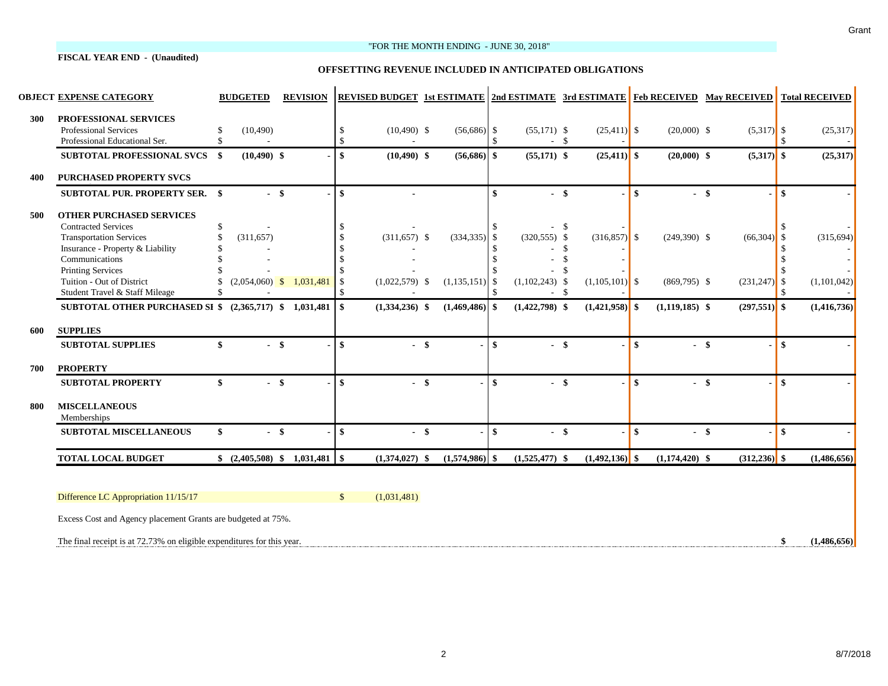#### **FISCAL YEAR END - (Unaudited)**

#### "FOR THE MONTH ENDING - JUNE 30, 2018"

#### **OFFSETTING REVENUE INCLUDED IN ANTICIPATED OBLIGATIONS**

|     | <b>OBJECT EXPENSE CATEGORY</b>                                                         |     | <b>BUDGETED</b>                            |        | <b>REVISION</b> |                                | <b>REVISED BUDGET 1st ESTIMATE 2nd ESTIMATE 3rd ESTIMATE Feb RECEIVED May RECEIVED Total RECEIVED</b> |                  |              |                         |     |                  |              |                  |                 |                        |             |
|-----|----------------------------------------------------------------------------------------|-----|--------------------------------------------|--------|-----------------|--------------------------------|-------------------------------------------------------------------------------------------------------|------------------|--------------|-------------------------|-----|------------------|--------------|------------------|-----------------|------------------------|-------------|
| 300 | PROFESSIONAL SERVICES<br><b>Professional Services</b><br>Professional Educational Ser. |     | (10, 490)                                  |        |                 | <sup>\$</sup><br>$\mathcal{S}$ | $(10,490)$ \$                                                                                         | $(56,686)$ \$    |              | $(55,171)$ \$<br>$-$ \$ |     | $(25,411)$ \$    |              | $(20,000)$ \$    | $(5,317)$ \$    |                        | (25,317)    |
|     | SUBTOTAL PROFESSIONAL SVCS \$                                                          |     | $(10, 490)$ \$                             |        |                 | $\mathbf{s}$                   | $(10, 490)$ \$                                                                                        | $(56,686)$ \$    |              | $(55,171)$ \$           |     | $(25,411)$ \$    |              | $(20,000)$ \$    | $(5,317)$ \$    |                        | (25, 317)   |
| 400 | <b>PURCHASED PROPERTY SVCS</b>                                                         |     |                                            |        |                 |                                |                                                                                                       |                  |              |                         |     |                  |              |                  |                 |                        |             |
|     | <b>SUBTOTAL PUR. PROPERTY SER. \$</b>                                                  |     |                                            | $-$ \$ |                 | $\mathbf{s}$                   |                                                                                                       |                  | \$           | $-$ \$                  |     |                  | \$           |                  | $-$ \$          | $\boldsymbol{\$}$      |             |
| 500 | <b>OTHER PURCHASED SERVICES</b>                                                        |     |                                            |        |                 |                                |                                                                                                       |                  |              |                         |     |                  |              |                  |                 |                        |             |
|     | <b>Contracted Services</b>                                                             | \$. |                                            |        |                 |                                |                                                                                                       |                  |              |                         | -\$ |                  |              |                  |                 |                        |             |
|     | <b>Transportation Services</b>                                                         |     | (311, 657)                                 |        |                 |                                | $(311, 657)$ \$                                                                                       | $(334, 335)$ \$  |              | $(320,555)$ \$          |     | $(316,857)$ \$   |              | $(249,390)$ \$   | (66, 304)       | $\mathcal{S}$          | (315, 694)  |
|     | Insurance - Property & Liability                                                       |     |                                            |        |                 |                                |                                                                                                       |                  |              |                         | -\$ |                  |              |                  |                 |                        |             |
|     | Communications                                                                         |     |                                            |        |                 |                                |                                                                                                       |                  |              |                         | -\$ |                  |              |                  |                 |                        |             |
|     | <b>Printing Services</b>                                                               |     |                                            |        |                 |                                |                                                                                                       |                  |              |                         | -\$ |                  |              |                  |                 |                        |             |
|     | Tuition - Out of District                                                              |     | $(2,054,060)$ \$                           |        | 1,031,481       | <sup>\$</sup>                  | $(1,022,579)$ \$                                                                                      | $(1,135,151)$ \$ |              | $(1,102,243)$ \$        |     | $(1,105,101)$ \$ |              | $(869,795)$ \$   | $(231,247)$ \$  |                        | (1,101,042) |
|     | Student Travel & Staff Mileage                                                         |     |                                            |        |                 | \$.                            |                                                                                                       |                  |              | $-$ \$                  |     |                  |              |                  |                 |                        |             |
|     | SUBTOTAL OTHER PURCHASED SI \$ (2,365,717) \$ 1,031,481                                |     |                                            |        |                 | -\$                            | $(1,334,236)$ \$                                                                                      | $(1,469,486)$ \$ |              | $(1,422,798)$ \$        |     | $(1,421,958)$ \$ |              | $(1,119,185)$ \$ | $(297,551)$ \$  |                        | (1,416,736) |
| 600 | <b>SUPPLIES</b>                                                                        |     |                                            |        |                 |                                |                                                                                                       |                  |              |                         |     |                  |              |                  |                 |                        |             |
|     | <b>SUBTOTAL SUPPLIES</b>                                                               | \$  |                                            | $-$ \$ |                 | $\mathbf{s}$                   | $-$ \$                                                                                                |                  | \$           | $-$ \$                  |     |                  | $\mathbf{s}$ |                  | $-$ \$          | \$                     |             |
| 700 | <b>PROPERTY</b>                                                                        |     |                                            |        |                 |                                |                                                                                                       |                  |              |                         |     |                  |              |                  |                 |                        |             |
|     | <b>SUBTOTAL PROPERTY</b>                                                               | \$  |                                            | $-$ \$ |                 | $\mathbf{s}$                   | $-$ \$                                                                                                |                  | $\mathbf{s}$ | $-$ \$                  |     |                  | $\mathbf{s}$ |                  | $-$ \$          | $\boldsymbol{\hat{s}}$ |             |
| 800 | <b>MISCELLANEOUS</b><br>Memberships                                                    |     |                                            |        |                 |                                |                                                                                                       |                  |              |                         |     |                  |              |                  |                 |                        |             |
|     | <b>SUBTOTAL MISCELLANEOUS</b>                                                          | \$  | $-$ \$                                     |        |                 | $\mathbf{\$}$                  | $-$ \$                                                                                                |                  | -\$          | $-$ \$                  |     |                  | $\mathbf{s}$ |                  | $-$ \$          | \$                     |             |
|     | <b>TOTAL LOCAL BUDGET</b>                                                              |     | $\frac{1}{2}$ (2,405,508) \$ 1,031,481 \\$ |        |                 |                                | $(1,374,027)$ \$                                                                                      | $(1,574,986)$ \$ |              | $(1,525,477)$ \$        |     | $(1,492,136)$ \$ |              | $(1,174,420)$ \$ | $(312, 236)$ \$ |                        | (1,486,656) |
|     |                                                                                        |     |                                            |        |                 |                                |                                                                                                       |                  |              |                         |     |                  |              |                  |                 |                        |             |
|     | Difference LC Appropriation 11/15/17                                                   |     |                                            |        |                 | $\mathcal{S}$                  | (1,031,481)                                                                                           |                  |              |                         |     |                  |              |                  |                 |                        |             |
|     | Excess Cost and Agency placement Grants are budgeted at 75%.                           |     |                                            |        |                 |                                |                                                                                                       |                  |              |                         |     |                  |              |                  |                 |                        |             |
|     | The final receipt is at 72.73% on eligible expenditures for this year.                 |     |                                            |        |                 |                                |                                                                                                       |                  |              |                         |     |                  |              |                  |                 |                        | (1.486.656) |